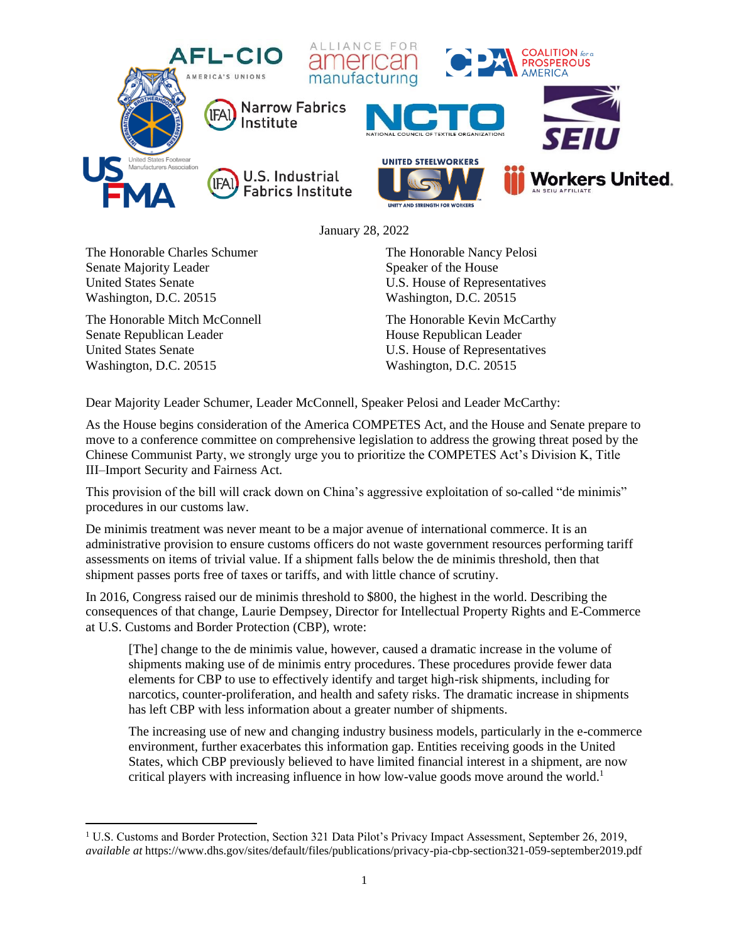

January 28, 2022

The Honorable Charles Schumer Senate Majority Leader United States Senate Washington, D.C. 20515

The Honorable Mitch McConnell Senate Republican Leader United States Senate Washington, D.C. 20515

The Honorable Nancy Pelosi Speaker of the House U.S. House of Representatives Washington, D.C. 20515

The Honorable Kevin McCarthy House Republican Leader U.S. House of Representatives Washington, D.C. 20515

Dear Majority Leader Schumer, Leader McConnell, Speaker Pelosi and Leader McCarthy:

As the House begins consideration of the America COMPETES Act, and the House and Senate prepare to move to a conference committee on comprehensive legislation to address the growing threat posed by the Chinese Communist Party, we strongly urge you to prioritize the COMPETES Act's Division K, Title III–Import Security and Fairness Act*.*

This provision of the bill will crack down on China's aggressive exploitation of so-called "de minimis" procedures in our customs law.

De minimis treatment was never meant to be a major avenue of international commerce. It is an administrative provision to ensure customs officers do not waste government resources performing tariff assessments on items of trivial value. If a shipment falls below the de minimis threshold, then that shipment passes ports free of taxes or tariffs, and with little chance of scrutiny.

In 2016, Congress raised our de minimis threshold to \$800, the highest in the world. Describing the consequences of that change, Laurie Dempsey, Director for Intellectual Property Rights and E-Commerce at U.S. Customs and Border Protection (CBP), wrote:

[The] change to the de minimis value, however, caused a dramatic increase in the volume of shipments making use of de minimis entry procedures. These procedures provide fewer data elements for CBP to use to effectively identify and target high-risk shipments, including for narcotics, counter-proliferation, and health and safety risks. The dramatic increase in shipments has left CBP with less information about a greater number of shipments.

The increasing use of new and changing industry business models, particularly in the e-commerce environment, further exacerbates this information gap. Entities receiving goods in the United States, which CBP previously believed to have limited financial interest in a shipment, are now critical players with increasing influence in how low-value goods move around the world.<sup>1</sup>

<sup>1</sup> U.S. Customs and Border Protection, Section 321 Data Pilot's Privacy Impact Assessment, September 26, 2019, *available at* https://www.dhs.gov/sites/default/files/publications/privacy-pia-cbp-section321-059-september2019.pdf